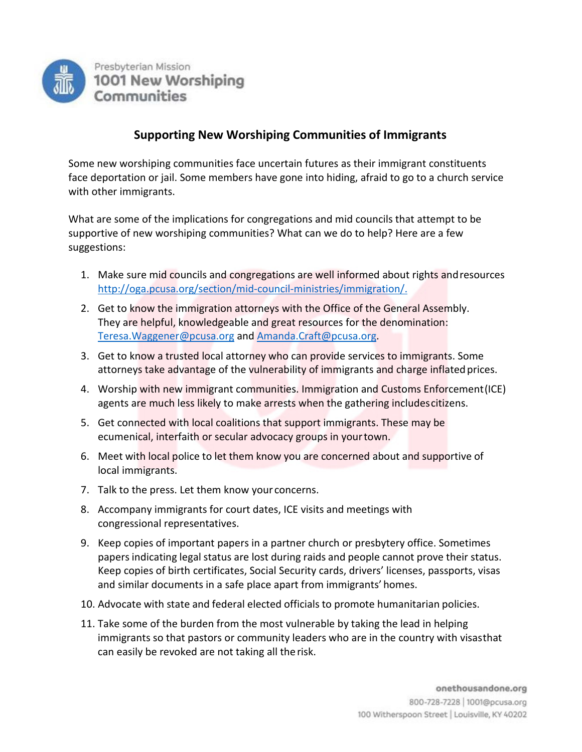

## **Supporting New Worshiping Communities of Immigrants**

Some new worshiping communities face uncertain futures as their immigrant constituents face deportation or jail. Some members have gone into hiding, afraid to go to a church service with other immigrants.

What are some of the implications for congregations and mid councils that attempt to be supportive of new worshiping communities? What can we do to help? Here are a few suggestions:

- 1. Make sure mid councils and congregations are well informed about rights andresources [http://oga.pcusa.org/section/mid-council-ministries/immigration/.](http://oga.pcusa.org/section/mid-council-ministries/immigration/)
- 2. Get to know the immigration attorneys with the Office of the General Assembly. They are helpful, knowledgeable and great resources for the denomination: [Teresa.Waggener@pcusa.org](mailto:Teresa.Waggener@pcusa.org) and [Amanda.Craft@pcusa.org.](mailto:Amanda.Craft@pcusa.org)
- 3. Get to know a trusted local attorney who can provide services to immigrants. Some attorneys take advantage of the vulnerability of immigrants and charge inflatedprices.
- 4. Worship with new immigrant communities. Immigration and Customs Enforcement(ICE) agents are much less likely to make arrests when the gathering includescitizens.
- 5. Get connected with local coalitions that support immigrants. These may be ecumenical, interfaith or secular advocacy groups in yourtown.
- 6. Meet with local police to let them know you are concerned about and supportive of local immigrants.
- 7. Talk to the press. Let them know your concerns.
- 8. Accompany immigrants for court dates, ICE visits and meetings with congressional representatives.
- 9. Keep copies of important papers in a partner church or presbytery office. Sometimes papers indicating legal status are lost during raids and people cannot prove their status. Keep copies of birth certificates, Social Security cards, drivers' licenses, passports, visas and similar documents in a safe place apart from immigrants' homes.
- 10. Advocate with state and federal elected officials to promote humanitarian policies.
- 11. Take some of the burden from the most vulnerable by taking the lead in helping immigrants so that pastors or community leaders who are in the country with visasthat can easily be revoked are not taking all therisk.